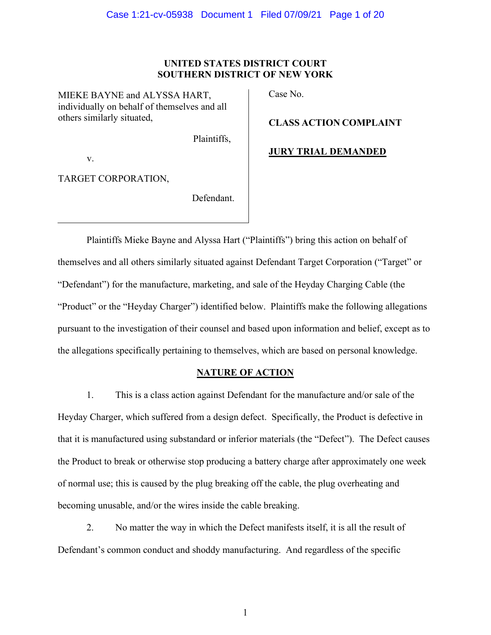## **UNITED STATES DISTRICT COURT SOUTHERN DISTRICT OF NEW YORK**

MIEKE BAYNE and ALYSSA HART, individually on behalf of themselves and all others similarly situated,

Case No.

**CLASS ACTION COMPLAINT**

Plaintiffs,

**JURY TRIAL DEMANDED**

v.

TARGET CORPORATION,

Defendant.

Plaintiffs Mieke Bayne and Alyssa Hart ("Plaintiffs") bring this action on behalf of themselves and all others similarly situated against Defendant Target Corporation ("Target" or "Defendant") for the manufacture, marketing, and sale of the Heyday Charging Cable (the "Product" or the "Heyday Charger") identified below. Plaintiffs make the following allegations pursuant to the investigation of their counsel and based upon information and belief, except as to the allegations specifically pertaining to themselves, which are based on personal knowledge.

# **NATURE OF ACTION**

1. This is a class action against Defendant for the manufacture and/or sale of the Heyday Charger, which suffered from a design defect. Specifically, the Product is defective in that it is manufactured using substandard or inferior materials (the "Defect"). The Defect causes the Product to break or otherwise stop producing a battery charge after approximately one week of normal use; this is caused by the plug breaking off the cable, the plug overheating and becoming unusable, and/or the wires inside the cable breaking.

2. No matter the way in which the Defect manifests itself, it is all the result of Defendant's common conduct and shoddy manufacturing. And regardless of the specific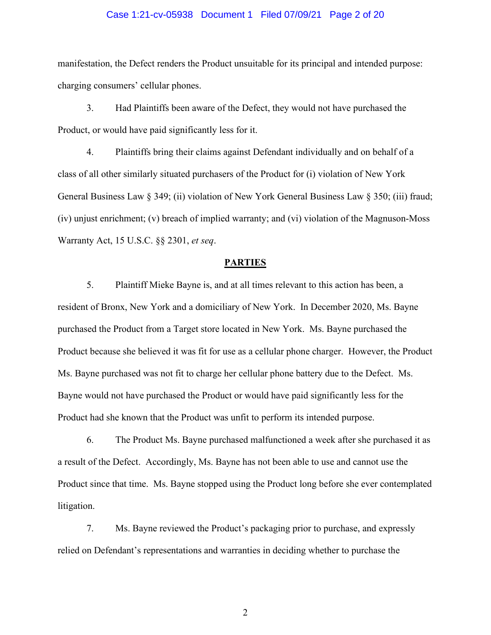#### Case 1:21-cv-05938 Document 1 Filed 07/09/21 Page 2 of 20

manifestation, the Defect renders the Product unsuitable for its principal and intended purpose: charging consumers' cellular phones.

3. Had Plaintiffs been aware of the Defect, they would not have purchased the Product, or would have paid significantly less for it.

4. Plaintiffs bring their claims against Defendant individually and on behalf of a class of all other similarly situated purchasers of the Product for (i) violation of New York General Business Law § 349; (ii) violation of New York General Business Law § 350; (iii) fraud; (iv) unjust enrichment; (v) breach of implied warranty; and (vi) violation of the Magnuson-Moss Warranty Act, 15 U.S.C. §§ 2301, *et seq*.

#### **PARTIES**

5. Plaintiff Mieke Bayne is, and at all times relevant to this action has been, a resident of Bronx, New York and a domiciliary of New York. In December 2020, Ms. Bayne purchased the Product from a Target store located in New York. Ms. Bayne purchased the Product because she believed it was fit for use as a cellular phone charger. However, the Product Ms. Bayne purchased was not fit to charge her cellular phone battery due to the Defect. Ms. Bayne would not have purchased the Product or would have paid significantly less for the Product had she known that the Product was unfit to perform its intended purpose.

6. The Product Ms. Bayne purchased malfunctioned a week after she purchased it as a result of the Defect. Accordingly, Ms. Bayne has not been able to use and cannot use the Product since that time. Ms. Bayne stopped using the Product long before she ever contemplated litigation.

7. Ms. Bayne reviewed the Product's packaging prior to purchase, and expressly relied on Defendant's representations and warranties in deciding whether to purchase the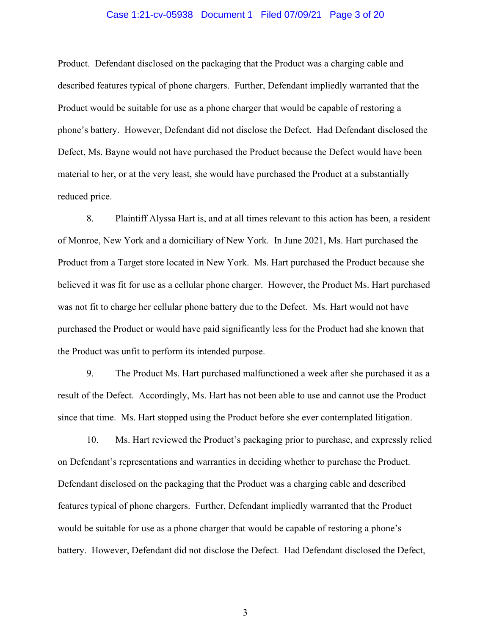#### Case 1:21-cv-05938 Document 1 Filed 07/09/21 Page 3 of 20

Product. Defendant disclosed on the packaging that the Product was a charging cable and described features typical of phone chargers. Further, Defendant impliedly warranted that the Product would be suitable for use as a phone charger that would be capable of restoring a phone's battery. However, Defendant did not disclose the Defect. Had Defendant disclosed the Defect, Ms. Bayne would not have purchased the Product because the Defect would have been material to her, or at the very least, she would have purchased the Product at a substantially reduced price.

8. Plaintiff Alyssa Hart is, and at all times relevant to this action has been, a resident of Monroe, New York and a domiciliary of New York. In June 2021, Ms. Hart purchased the Product from a Target store located in New York. Ms. Hart purchased the Product because she believed it was fit for use as a cellular phone charger. However, the Product Ms. Hart purchased was not fit to charge her cellular phone battery due to the Defect. Ms. Hart would not have purchased the Product or would have paid significantly less for the Product had she known that the Product was unfit to perform its intended purpose.

9. The Product Ms. Hart purchased malfunctioned a week after she purchased it as a result of the Defect. Accordingly, Ms. Hart has not been able to use and cannot use the Product since that time. Ms. Hart stopped using the Product before she ever contemplated litigation.

10. Ms. Hart reviewed the Product's packaging prior to purchase, and expressly relied on Defendant's representations and warranties in deciding whether to purchase the Product. Defendant disclosed on the packaging that the Product was a charging cable and described features typical of phone chargers. Further, Defendant impliedly warranted that the Product would be suitable for use as a phone charger that would be capable of restoring a phone's battery. However, Defendant did not disclose the Defect. Had Defendant disclosed the Defect,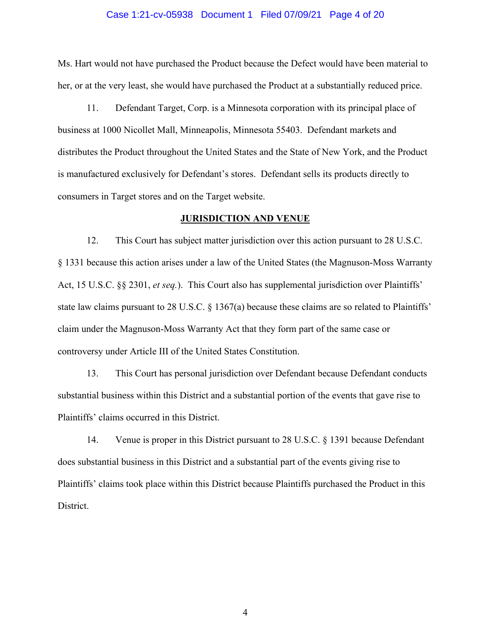#### Case 1:21-cv-05938 Document 1 Filed 07/09/21 Page 4 of 20

Ms. Hart would not have purchased the Product because the Defect would have been material to her, or at the very least, she would have purchased the Product at a substantially reduced price.

11. Defendant Target, Corp. is a Minnesota corporation with its principal place of business at 1000 Nicollet Mall, Minneapolis, Minnesota 55403. Defendant markets and distributes the Product throughout the United States and the State of New York, and the Product is manufactured exclusively for Defendant's stores. Defendant sells its products directly to consumers in Target stores and on the Target website.

#### **JURISDICTION AND VENUE**

12. This Court has subject matter jurisdiction over this action pursuant to 28 U.S.C. § 1331 because this action arises under a law of the United States (the Magnuson-Moss Warranty Act, 15 U.S.C. §§ 2301, *et seq.*). This Court also has supplemental jurisdiction over Plaintiffs' state law claims pursuant to 28 U.S.C. § 1367(a) because these claims are so related to Plaintiffs' claim under the Magnuson-Moss Warranty Act that they form part of the same case or controversy under Article III of the United States Constitution.

13. This Court has personal jurisdiction over Defendant because Defendant conducts substantial business within this District and a substantial portion of the events that gave rise to Plaintiffs' claims occurred in this District.

14. Venue is proper in this District pursuant to 28 U.S.C. § 1391 because Defendant does substantial business in this District and a substantial part of the events giving rise to Plaintiffs' claims took place within this District because Plaintiffs purchased the Product in this District.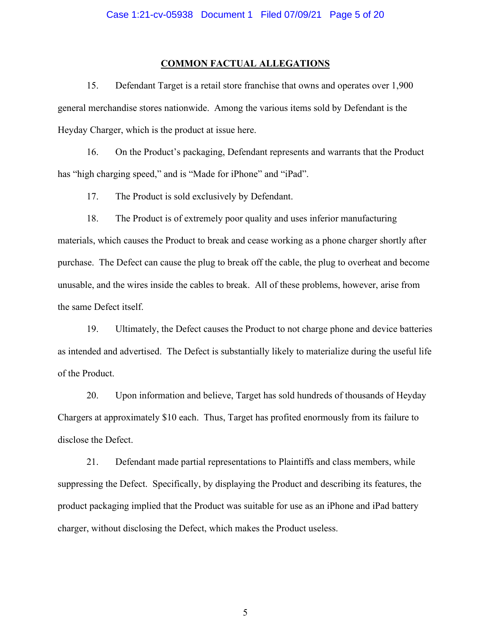#### **COMMON FACTUAL ALLEGATIONS**

15. Defendant Target is a retail store franchise that owns and operates over 1,900 general merchandise stores nationwide. Among the various items sold by Defendant is the Heyday Charger, which is the product at issue here.

16. On the Product's packaging, Defendant represents and warrants that the Product has "high charging speed," and is "Made for iPhone" and "iPad".

17. The Product is sold exclusively by Defendant.

18. The Product is of extremely poor quality and uses inferior manufacturing materials, which causes the Product to break and cease working as a phone charger shortly after purchase. The Defect can cause the plug to break off the cable, the plug to overheat and become unusable, and the wires inside the cables to break. All of these problems, however, arise from the same Defect itself.

19. Ultimately, the Defect causes the Product to not charge phone and device batteries as intended and advertised. The Defect is substantially likely to materialize during the useful life of the Product.

20. Upon information and believe, Target has sold hundreds of thousands of Heyday Chargers at approximately \$10 each. Thus, Target has profited enormously from its failure to disclose the Defect.

21. Defendant made partial representations to Plaintiffs and class members, while suppressing the Defect. Specifically, by displaying the Product and describing its features, the product packaging implied that the Product was suitable for use as an iPhone and iPad battery charger, without disclosing the Defect, which makes the Product useless.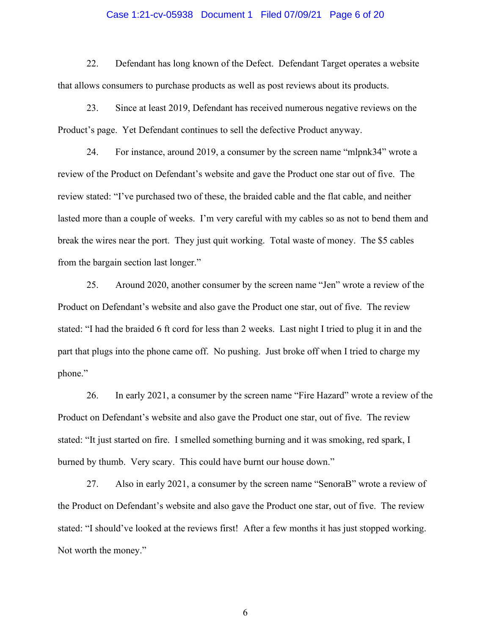#### Case 1:21-cv-05938 Document 1 Filed 07/09/21 Page 6 of 20

22. Defendant has long known of the Defect. Defendant Target operates a website that allows consumers to purchase products as well as post reviews about its products.

23. Since at least 2019, Defendant has received numerous negative reviews on the Product's page. Yet Defendant continues to sell the defective Product anyway.

24. For instance, around 2019, a consumer by the screen name "mlpnk34" wrote a review of the Product on Defendant's website and gave the Product one star out of five. The review stated: "I've purchased two of these, the braided cable and the flat cable, and neither lasted more than a couple of weeks. I'm very careful with my cables so as not to bend them and break the wires near the port. They just quit working. Total waste of money. The \$5 cables from the bargain section last longer."

25. Around 2020, another consumer by the screen name "Jen" wrote a review of the Product on Defendant's website and also gave the Product one star, out of five. The review stated: "I had the braided 6 ft cord for less than 2 weeks. Last night I tried to plug it in and the part that plugs into the phone came off. No pushing. Just broke off when I tried to charge my phone."

26. In early 2021, a consumer by the screen name "Fire Hazard" wrote a review of the Product on Defendant's website and also gave the Product one star, out of five. The review stated: "It just started on fire. I smelled something burning and it was smoking, red spark, I burned by thumb. Very scary. This could have burnt our house down."

27. Also in early 2021, a consumer by the screen name "SenoraB" wrote a review of the Product on Defendant's website and also gave the Product one star, out of five. The review stated: "I should've looked at the reviews first! After a few months it has just stopped working. Not worth the money."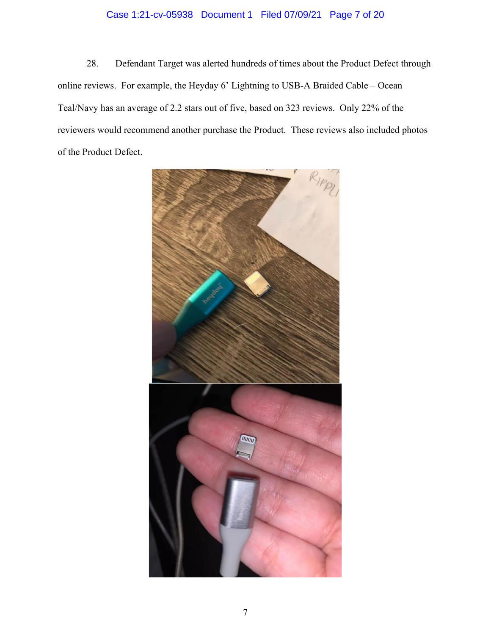# Case 1:21-cv-05938 Document 1 Filed 07/09/21 Page 7 of 20

28. Defendant Target was alerted hundreds of times about the Product Defect through online reviews. For example, the Heyday 6' Lightning to USB-A Braided Cable – Ocean Teal/Navy has an average of 2.2 stars out of five, based on 323 reviews. Only 22% of the reviewers would recommend another purchase the Product. These reviews also included photos of the Product Defect.

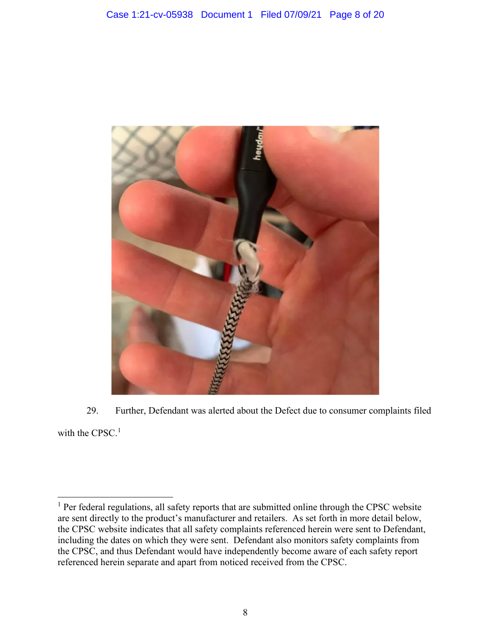

29. Further, Defendant was alerted about the Defect due to consumer complaints filed with the CPSC. $<sup>1</sup>$ </sup>

<sup>&</sup>lt;sup>1</sup> Per federal regulations, all safety reports that are submitted online through the CPSC website are sent directly to the product's manufacturer and retailers. As set forth in more detail below, the CPSC website indicates that all safety complaints referenced herein were sent to Defendant, including the dates on which they were sent. Defendant also monitors safety complaints from the CPSC, and thus Defendant would have independently become aware of each safety report referenced herein separate and apart from noticed received from the CPSC.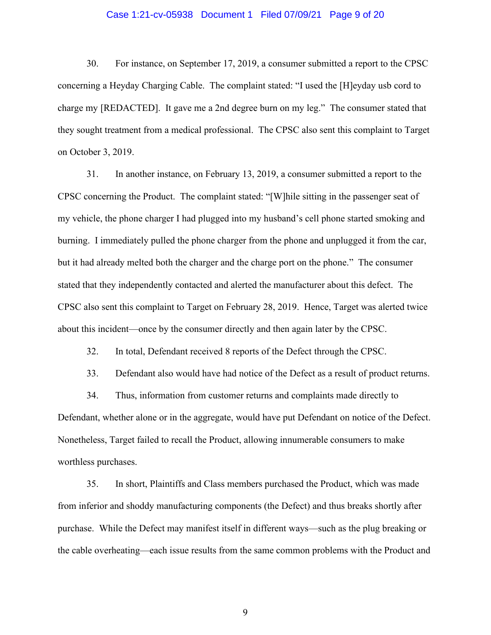#### Case 1:21-cv-05938 Document 1 Filed 07/09/21 Page 9 of 20

30. For instance, on September 17, 2019, a consumer submitted a report to the CPSC concerning a Heyday Charging Cable. The complaint stated: "I used the [H]eyday usb cord to charge my [REDACTED]. It gave me a 2nd degree burn on my leg." The consumer stated that they sought treatment from a medical professional. The CPSC also sent this complaint to Target on October 3, 2019.

31. In another instance, on February 13, 2019, a consumer submitted a report to the CPSC concerning the Product. The complaint stated: "[W]hile sitting in the passenger seat of my vehicle, the phone charger I had plugged into my husband's cell phone started smoking and burning. I immediately pulled the phone charger from the phone and unplugged it from the car, but it had already melted both the charger and the charge port on the phone." The consumer stated that they independently contacted and alerted the manufacturer about this defect. The CPSC also sent this complaint to Target on February 28, 2019. Hence, Target was alerted twice about this incident—once by the consumer directly and then again later by the CPSC.

32. In total, Defendant received 8 reports of the Defect through the CPSC.

33. Defendant also would have had notice of the Defect as a result of product returns.

34. Thus, information from customer returns and complaints made directly to Defendant, whether alone or in the aggregate, would have put Defendant on notice of the Defect. Nonetheless, Target failed to recall the Product, allowing innumerable consumers to make worthless purchases.

35. In short, Plaintiffs and Class members purchased the Product, which was made from inferior and shoddy manufacturing components (the Defect) and thus breaks shortly after purchase. While the Defect may manifest itself in different ways—such as the plug breaking or the cable overheating—each issue results from the same common problems with the Product and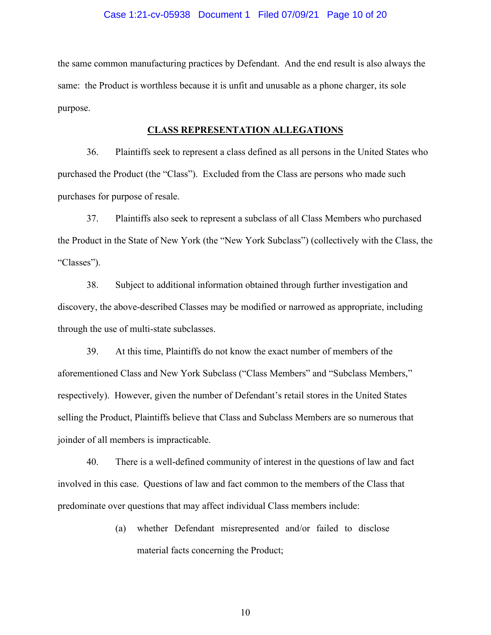#### Case 1:21-cv-05938 Document 1 Filed 07/09/21 Page 10 of 20

the same common manufacturing practices by Defendant. And the end result is also always the same: the Product is worthless because it is unfit and unusable as a phone charger, its sole purpose.

#### **CLASS REPRESENTATION ALLEGATIONS**

36. Plaintiffs seek to represent a class defined as all persons in the United States who purchased the Product (the "Class"). Excluded from the Class are persons who made such purchases for purpose of resale.

37. Plaintiffs also seek to represent a subclass of all Class Members who purchased the Product in the State of New York (the "New York Subclass") (collectively with the Class, the "Classes").

38. Subject to additional information obtained through further investigation and discovery, the above-described Classes may be modified or narrowed as appropriate, including through the use of multi-state subclasses.

39. At this time, Plaintiffs do not know the exact number of members of the aforementioned Class and New York Subclass ("Class Members" and "Subclass Members," respectively). However, given the number of Defendant's retail stores in the United States selling the Product, Plaintiffs believe that Class and Subclass Members are so numerous that joinder of all members is impracticable.

40. There is a well-defined community of interest in the questions of law and fact involved in this case. Questions of law and fact common to the members of the Class that predominate over questions that may affect individual Class members include:

> (a) whether Defendant misrepresented and/or failed to disclose material facts concerning the Product;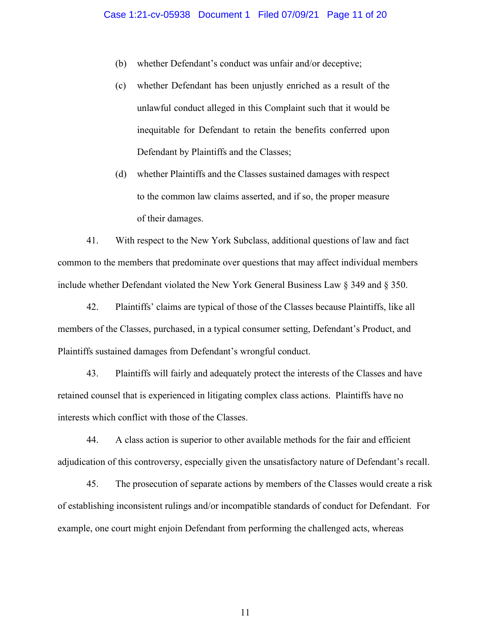- (b) whether Defendant's conduct was unfair and/or deceptive;
- (c) whether Defendant has been unjustly enriched as a result of the unlawful conduct alleged in this Complaint such that it would be inequitable for Defendant to retain the benefits conferred upon Defendant by Plaintiffs and the Classes;
- (d) whether Plaintiffs and the Classes sustained damages with respect to the common law claims asserted, and if so, the proper measure of their damages.

41. With respect to the New York Subclass, additional questions of law and fact common to the members that predominate over questions that may affect individual members include whether Defendant violated the New York General Business Law § 349 and § 350.

42. Plaintiffs' claims are typical of those of the Classes because Plaintiffs, like all members of the Classes, purchased, in a typical consumer setting, Defendant's Product, and Plaintiffs sustained damages from Defendant's wrongful conduct.

43. Plaintiffs will fairly and adequately protect the interests of the Classes and have retained counsel that is experienced in litigating complex class actions. Plaintiffs have no interests which conflict with those of the Classes.

44. A class action is superior to other available methods for the fair and efficient adjudication of this controversy, especially given the unsatisfactory nature of Defendant's recall.

45. The prosecution of separate actions by members of the Classes would create a risk of establishing inconsistent rulings and/or incompatible standards of conduct for Defendant. For example, one court might enjoin Defendant from performing the challenged acts, whereas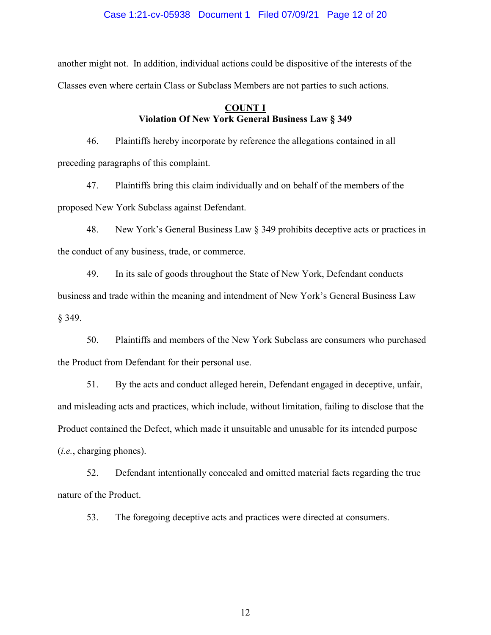#### Case 1:21-cv-05938 Document 1 Filed 07/09/21 Page 12 of 20

another might not. In addition, individual actions could be dispositive of the interests of the Classes even where certain Class or Subclass Members are not parties to such actions.

# **COUNT I Violation Of New York General Business Law § 349**

46. Plaintiffs hereby incorporate by reference the allegations contained in all preceding paragraphs of this complaint.

47. Plaintiffs bring this claim individually and on behalf of the members of the proposed New York Subclass against Defendant.

48. New York's General Business Law § 349 prohibits deceptive acts or practices in the conduct of any business, trade, or commerce.

49. In its sale of goods throughout the State of New York, Defendant conducts business and trade within the meaning and intendment of New York's General Business Law § 349.

50. Plaintiffs and members of the New York Subclass are consumers who purchased the Product from Defendant for their personal use.

51. By the acts and conduct alleged herein, Defendant engaged in deceptive, unfair, and misleading acts and practices, which include, without limitation, failing to disclose that the Product contained the Defect, which made it unsuitable and unusable for its intended purpose (*i.e.*, charging phones).

52. Defendant intentionally concealed and omitted material facts regarding the true nature of the Product.

53. The foregoing deceptive acts and practices were directed at consumers.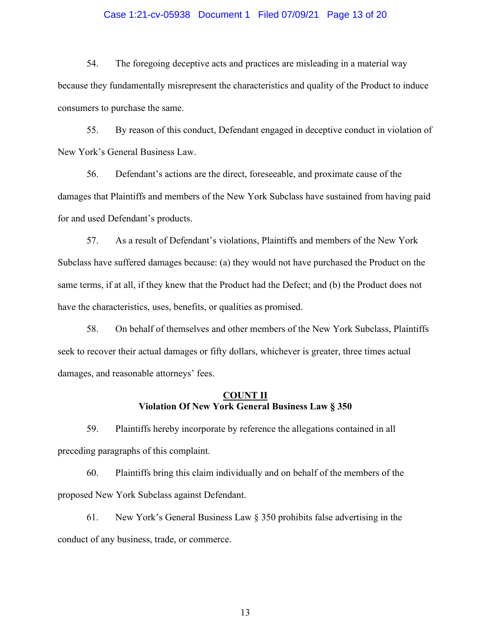#### Case 1:21-cv-05938 Document 1 Filed 07/09/21 Page 13 of 20

54. The foregoing deceptive acts and practices are misleading in a material way because they fundamentally misrepresent the characteristics and quality of the Product to induce consumers to purchase the same.

55. By reason of this conduct, Defendant engaged in deceptive conduct in violation of New York's General Business Law.

56. Defendant's actions are the direct, foreseeable, and proximate cause of the damages that Plaintiffs and members of the New York Subclass have sustained from having paid for and used Defendant's products.

57. As a result of Defendant's violations, Plaintiffs and members of the New York Subclass have suffered damages because: (a) they would not have purchased the Product on the same terms, if at all, if they knew that the Product had the Defect; and (b) the Product does not have the characteristics, uses, benefits, or qualities as promised.

58. On behalf of themselves and other members of the New York Subclass, Plaintiffs seek to recover their actual damages or fifty dollars, whichever is greater, three times actual damages, and reasonable attorneys' fees.

# **COUNT II Violation Of New York General Business Law § 350**

59. Plaintiffs hereby incorporate by reference the allegations contained in all preceding paragraphs of this complaint.

60. Plaintiffs bring this claim individually and on behalf of the members of the proposed New York Subclass against Defendant.

61. New York's General Business Law § 350 prohibits false advertising in the conduct of any business, trade, or commerce.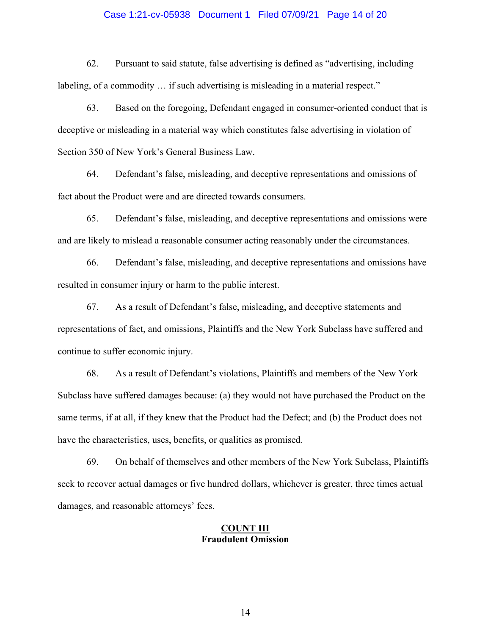#### Case 1:21-cv-05938 Document 1 Filed 07/09/21 Page 14 of 20

62. Pursuant to said statute, false advertising is defined as "advertising, including labeling, of a commodity ... if such advertising is misleading in a material respect."

63. Based on the foregoing, Defendant engaged in consumer-oriented conduct that is deceptive or misleading in a material way which constitutes false advertising in violation of Section 350 of New York's General Business Law.

64. Defendant's false, misleading, and deceptive representations and omissions of fact about the Product were and are directed towards consumers.

65. Defendant's false, misleading, and deceptive representations and omissions were and are likely to mislead a reasonable consumer acting reasonably under the circumstances.

66. Defendant's false, misleading, and deceptive representations and omissions have resulted in consumer injury or harm to the public interest.

67. As a result of Defendant's false, misleading, and deceptive statements and representations of fact, and omissions, Plaintiffs and the New York Subclass have suffered and continue to suffer economic injury.

68. As a result of Defendant's violations, Plaintiffs and members of the New York Subclass have suffered damages because: (a) they would not have purchased the Product on the same terms, if at all, if they knew that the Product had the Defect; and (b) the Product does not have the characteristics, uses, benefits, or qualities as promised.

69. On behalf of themselves and other members of the New York Subclass, Plaintiffs seek to recover actual damages or five hundred dollars, whichever is greater, three times actual damages, and reasonable attorneys' fees.

#### **COUNT III Fraudulent Omission**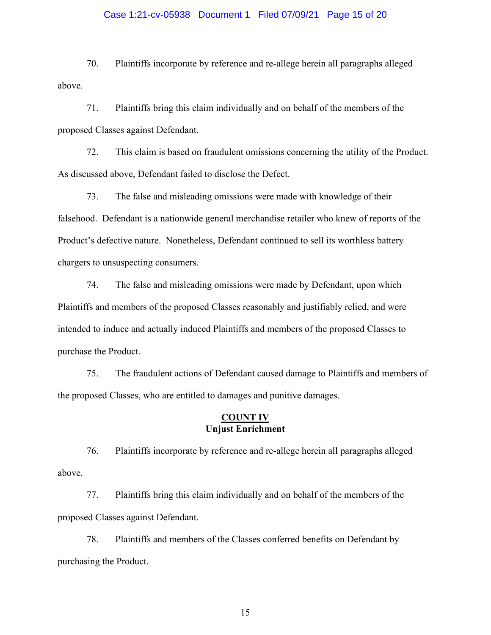#### Case 1:21-cv-05938 Document 1 Filed 07/09/21 Page 15 of 20

70. Plaintiffs incorporate by reference and re-allege herein all paragraphs alleged above.

71. Plaintiffs bring this claim individually and on behalf of the members of the proposed Classes against Defendant.

72. This claim is based on fraudulent omissions concerning the utility of the Product. As discussed above, Defendant failed to disclose the Defect.

73. The false and misleading omissions were made with knowledge of their falsehood. Defendant is a nationwide general merchandise retailer who knew of reports of the Product's defective nature. Nonetheless, Defendant continued to sell its worthless battery chargers to unsuspecting consumers.

74. The false and misleading omissions were made by Defendant, upon which Plaintiffs and members of the proposed Classes reasonably and justifiably relied, and were intended to induce and actually induced Plaintiffs and members of the proposed Classes to purchase the Product.

75. The fraudulent actions of Defendant caused damage to Plaintiffs and members of the proposed Classes, who are entitled to damages and punitive damages.

#### **COUNT IV Unjust Enrichment**

76. Plaintiffs incorporate by reference and re-allege herein all paragraphs alleged above.

77. Plaintiffs bring this claim individually and on behalf of the members of the proposed Classes against Defendant.

78. Plaintiffs and members of the Classes conferred benefits on Defendant by purchasing the Product.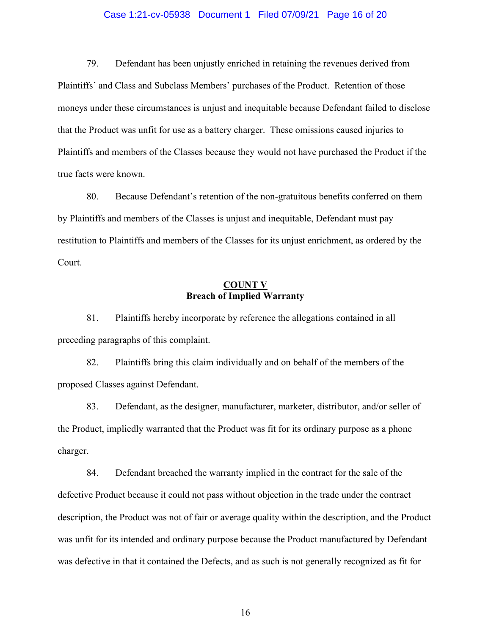#### Case 1:21-cv-05938 Document 1 Filed 07/09/21 Page 16 of 20

79. Defendant has been unjustly enriched in retaining the revenues derived from Plaintiffs' and Class and Subclass Members' purchases of the Product. Retention of those moneys under these circumstances is unjust and inequitable because Defendant failed to disclose that the Product was unfit for use as a battery charger. These omissions caused injuries to Plaintiffs and members of the Classes because they would not have purchased the Product if the true facts were known.

80. Because Defendant's retention of the non-gratuitous benefits conferred on them by Plaintiffs and members of the Classes is unjust and inequitable, Defendant must pay restitution to Plaintiffs and members of the Classes for its unjust enrichment, as ordered by the Court.

### **COUNT V Breach of Implied Warranty**

81. Plaintiffs hereby incorporate by reference the allegations contained in all preceding paragraphs of this complaint.

82. Plaintiffs bring this claim individually and on behalf of the members of the proposed Classes against Defendant.

83. Defendant, as the designer, manufacturer, marketer, distributor, and/or seller of the Product, impliedly warranted that the Product was fit for its ordinary purpose as a phone charger.

84. Defendant breached the warranty implied in the contract for the sale of the defective Product because it could not pass without objection in the trade under the contract description, the Product was not of fair or average quality within the description, and the Product was unfit for its intended and ordinary purpose because the Product manufactured by Defendant was defective in that it contained the Defects, and as such is not generally recognized as fit for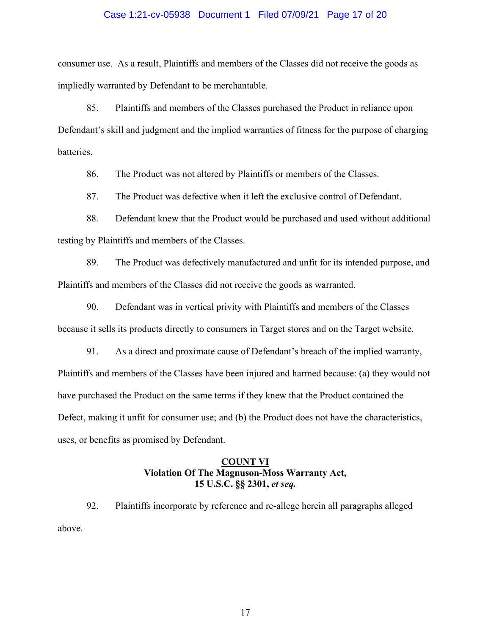#### Case 1:21-cv-05938 Document 1 Filed 07/09/21 Page 17 of 20

consumer use. As a result, Plaintiffs and members of the Classes did not receive the goods as impliedly warranted by Defendant to be merchantable.

85. Plaintiffs and members of the Classes purchased the Product in reliance upon Defendant's skill and judgment and the implied warranties of fitness for the purpose of charging batteries.

86. The Product was not altered by Plaintiffs or members of the Classes.

87. The Product was defective when it left the exclusive control of Defendant.

88. Defendant knew that the Product would be purchased and used without additional testing by Plaintiffs and members of the Classes.

89. The Product was defectively manufactured and unfit for its intended purpose, and Plaintiffs and members of the Classes did not receive the goods as warranted.

90. Defendant was in vertical privity with Plaintiffs and members of the Classes because it sells its products directly to consumers in Target stores and on the Target website.

91. As a direct and proximate cause of Defendant's breach of the implied warranty, Plaintiffs and members of the Classes have been injured and harmed because: (a) they would not have purchased the Product on the same terms if they knew that the Product contained the Defect, making it unfit for consumer use; and (b) the Product does not have the characteristics, uses, or benefits as promised by Defendant.

# **COUNT VI Violation Of The Magnuson-Moss Warranty Act, 15 U.S.C. §§ 2301,** *et seq.*

92. Plaintiffs incorporate by reference and re-allege herein all paragraphs alleged above.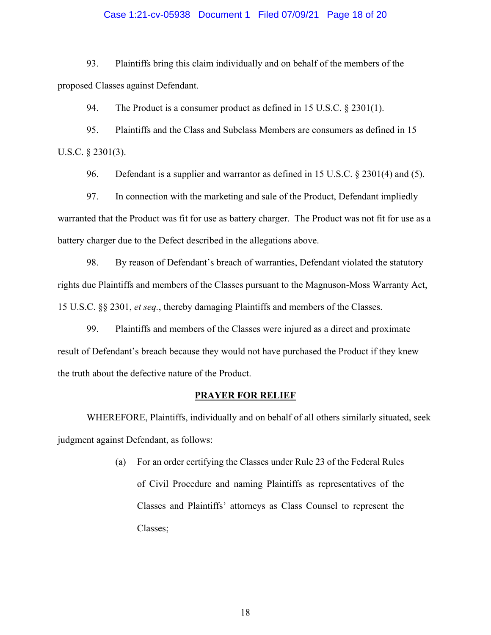#### Case 1:21-cv-05938 Document 1 Filed 07/09/21 Page 18 of 20

93. Plaintiffs bring this claim individually and on behalf of the members of the proposed Classes against Defendant.

94. The Product is a consumer product as defined in 15 U.S.C. § 2301(1).

95. Plaintiffs and the Class and Subclass Members are consumers as defined in 15 U.S.C. § 2301(3).

96. Defendant is a supplier and warrantor as defined in 15 U.S.C. § 2301(4) and (5).

97. In connection with the marketing and sale of the Product, Defendant impliedly warranted that the Product was fit for use as battery charger. The Product was not fit for use as a battery charger due to the Defect described in the allegations above.

98. By reason of Defendant's breach of warranties, Defendant violated the statutory rights due Plaintiffs and members of the Classes pursuant to the Magnuson-Moss Warranty Act, 15 U.S.C. §§ 2301, *et seq.*, thereby damaging Plaintiffs and members of the Classes.

99. Plaintiffs and members of the Classes were injured as a direct and proximate result of Defendant's breach because they would not have purchased the Product if they knew the truth about the defective nature of the Product.

#### **PRAYER FOR RELIEF**

WHEREFORE, Plaintiffs, individually and on behalf of all others similarly situated, seek judgment against Defendant, as follows:

> (a) For an order certifying the Classes under Rule 23 of the Federal Rules of Civil Procedure and naming Plaintiffs as representatives of the Classes and Plaintiffs' attorneys as Class Counsel to represent the Classes;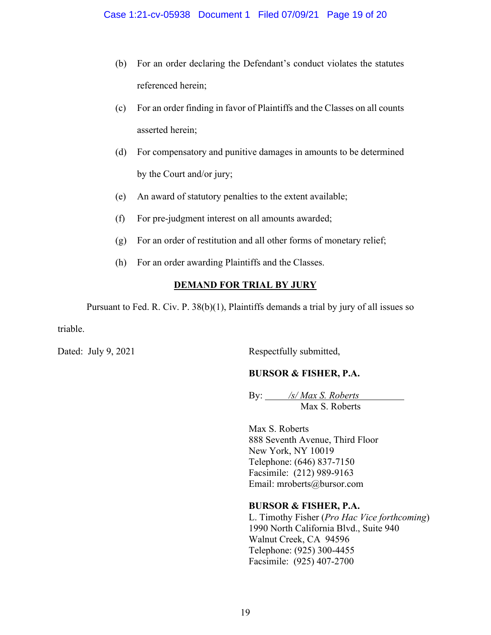- (b) For an order declaring the Defendant's conduct violates the statutes referenced herein;
- (c) For an order finding in favor of Plaintiffs and the Classes on all counts asserted herein;
- (d) For compensatory and punitive damages in amounts to be determined by the Court and/or jury;
- (e) An award of statutory penalties to the extent available;
- (f) For pre-judgment interest on all amounts awarded;
- (g) For an order of restitution and all other forms of monetary relief;
- (h) For an order awarding Plaintiffs and the Classes.

# **DEMAND FOR TRIAL BY JURY**

Pursuant to Fed. R. Civ. P. 38(b)(1), Plaintiffs demands a trial by jury of all issues so

triable.

Dated: July 9, 2021 Respectfully submitted,

# **BURSOR & FISHER, P.A.**

By: */s/ Max S. Roberts* Max S. Roberts

Max S. Roberts 888 Seventh Avenue, Third Floor New York, NY 10019 Telephone: (646) 837-7150 Facsimile: (212) 989-9163 Email: mroberts@bursor.com

# **BURSOR & FISHER, P.A.**

L. Timothy Fisher (*Pro Hac Vice forthcoming*) 1990 North California Blvd., Suite 940 Walnut Creek, CA 94596 Telephone: (925) 300-4455 Facsimile: (925) 407-2700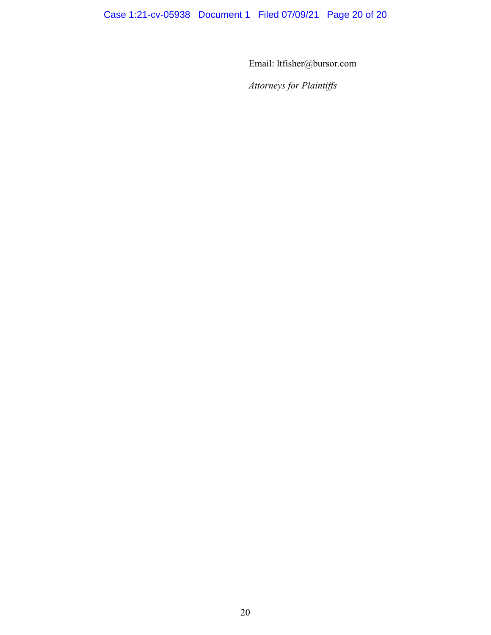Email: ltfisher@bursor.com

*Attorneys for Plaintiffs*